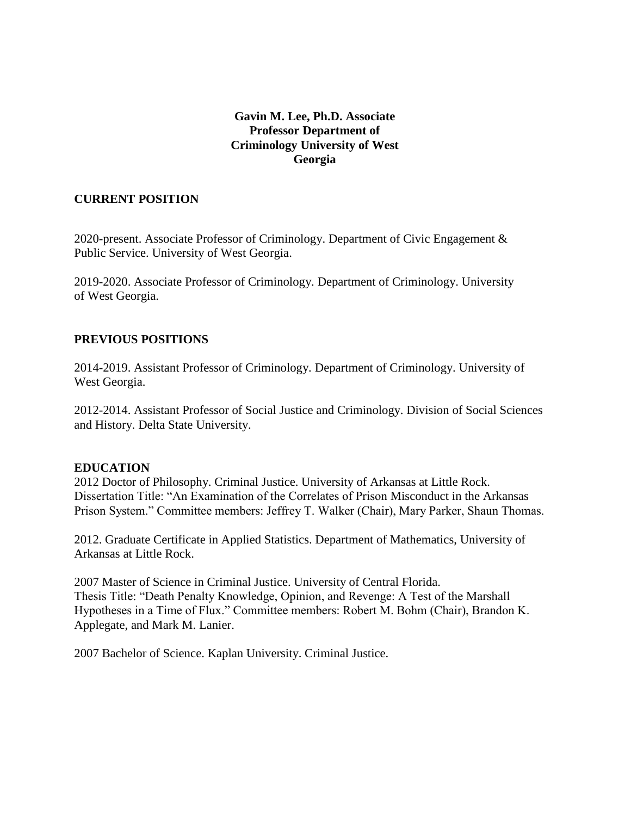## **Gavin M. Lee, Ph.D. Associate Professor Department of Criminology University of West Georgia**

## **CURRENT POSITION**

2020-present. Associate Professor of Criminology. Department of Civic Engagement & Public Service. University of West Georgia.

2019-2020. Associate Professor of Criminology. Department of Criminology. University of West Georgia.

## **PREVIOUS POSITIONS**

2014-2019. Assistant Professor of Criminology. Department of Criminology. University of West Georgia.

2012-2014. Assistant Professor of Social Justice and Criminology. Division of Social Sciences and History. Delta State University.

### **EDUCATION**

2012 Doctor of Philosophy. Criminal Justice. University of Arkansas at Little Rock. Dissertation Title: "An Examination of the Correlates of Prison Misconduct in the Arkansas Prison System." Committee members: Jeffrey T. Walker (Chair), Mary Parker, Shaun Thomas.

2012. Graduate Certificate in Applied Statistics. Department of Mathematics, University of Arkansas at Little Rock.

2007 Master of Science in Criminal Justice. University of Central Florida. Thesis Title: "Death Penalty Knowledge, Opinion, and Revenge: A Test of the Marshall Hypotheses in a Time of Flux." Committee members: Robert M. Bohm (Chair), Brandon K. Applegate, and Mark M. Lanier.

2007 Bachelor of Science. Kaplan University. Criminal Justice.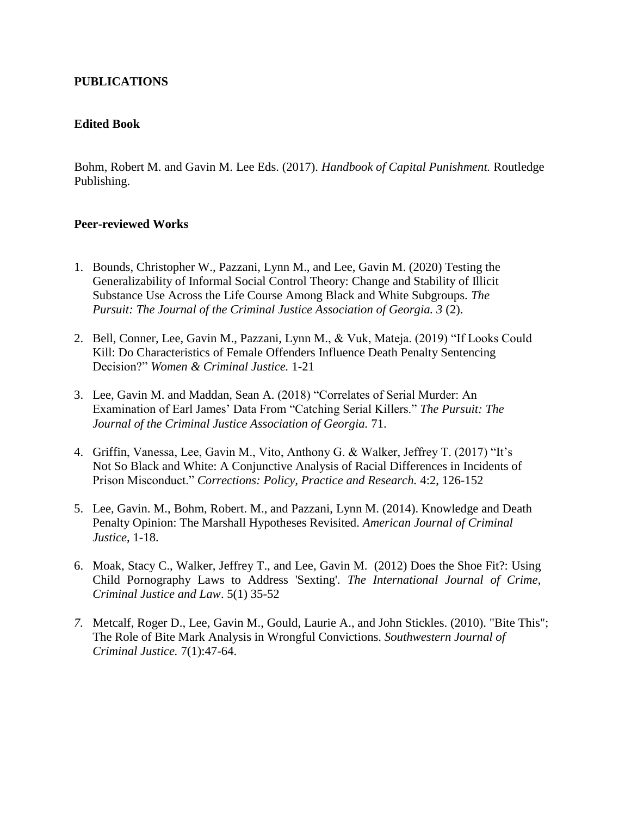## **PUBLICATIONS**

### **Edited Book**

Bohm, Robert M. and Gavin M. Lee Eds. (2017). *Handbook of Capital Punishment.* Routledge Publishing.

### **Peer-reviewed Works**

- 1. Bounds, Christopher W., Pazzani, Lynn M., and Lee, Gavin M. (2020) Testing the Generalizability of Informal Social Control Theory: Change and Stability of Illicit Substance Use Across the Life Course Among Black and White Subgroups. *The Pursuit: The Journal of the Criminal Justice Association of Georgia. 3* (2).
- 2. Bell, Conner, Lee, Gavin M., Pazzani, Lynn M., & Vuk, Mateja. (2019) "If Looks Could Kill: Do Characteristics of Female Offenders Influence Death Penalty Sentencing Decision?" *Women & Criminal Justice.* 1-21
- 3. Lee, Gavin M. and Maddan, Sean A. (2018) "Correlates of Serial Murder: An Examination of Earl James' Data From "Catching Serial Killers." *The Pursuit: The Journal of the Criminal Justice Association of Georgia.* 71.
- 4. Griffin, Vanessa, Lee, Gavin M., Vito, Anthony G. & Walker, Jeffrey T. (2017) "It's Not So Black and White: A Conjunctive Analysis of Racial Differences in Incidents of Prison Misconduct." *Corrections: Policy, Practice and Research.* 4:2, 126-152
- 5. Lee, Gavin. M., Bohm, Robert. M., and Pazzani, Lynn M. (2014). Knowledge and Death Penalty Opinion: The Marshall Hypotheses Revisited. *American Journal of Criminal Justice*, 1-18.
- 6. Moak, Stacy C., Walker, Jeffrey T., and Lee, Gavin M. (2012) Does the Shoe Fit?: Using Child Pornography Laws to Address 'Sexting'. *The International Journal of Crime, Criminal Justice and Law*. 5(1) 35-52
- *7.* Metcalf, Roger D., Lee, Gavin M., Gould, Laurie A., and John Stickles. (2010). "Bite This"; The Role of Bite Mark Analysis in Wrongful Convictions. *Southwestern Journal of Criminal Justice.* 7(1):47-64.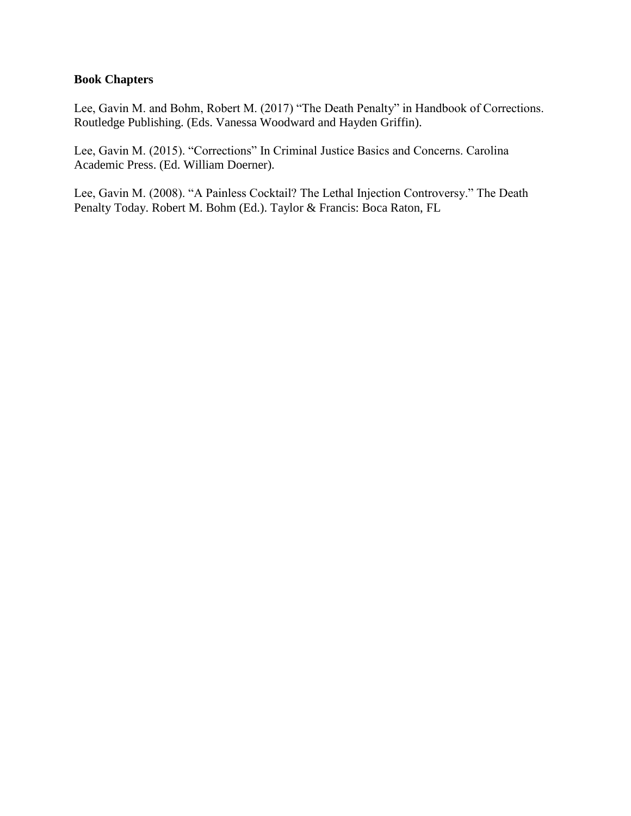### **Book Chapters**

Lee, Gavin M. and Bohm, Robert M. (2017) "The Death Penalty" in Handbook of Corrections. Routledge Publishing. (Eds. Vanessa Woodward and Hayden Griffin).

Lee, Gavin M. (2015). "Corrections" In Criminal Justice Basics and Concerns. Carolina Academic Press. (Ed. William Doerner).

Lee, Gavin M. (2008). "A Painless Cocktail? The Lethal Injection Controversy." The Death Penalty Today. Robert M. Bohm (Ed.). Taylor & Francis: Boca Raton, FL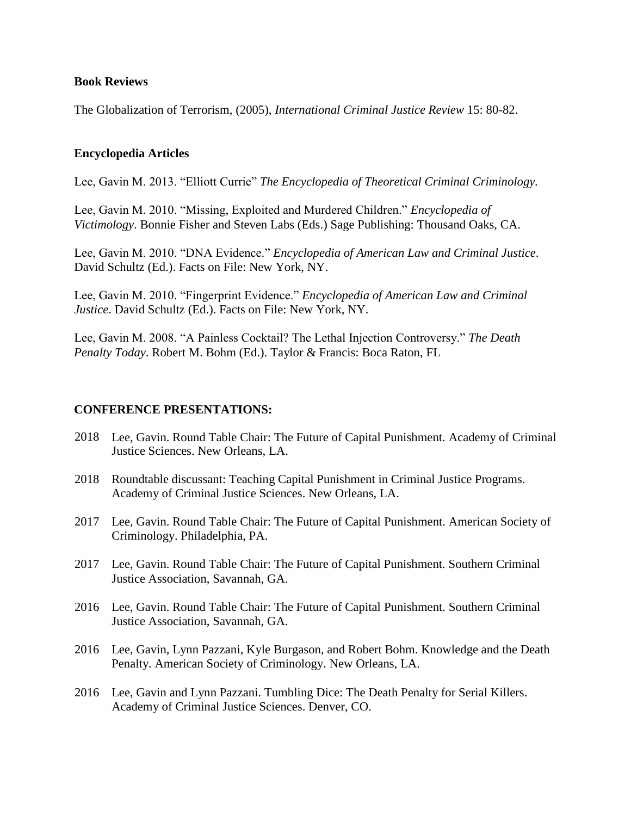#### **Book Reviews**

The Globalization of Terrorism, (2005), *International Criminal Justice Review* 15: 80-82.

### **Encyclopedia Articles**

Lee, Gavin M. 2013. "Elliott Currie" *The Encyclopedia of Theoretical Criminal Criminology.*

Lee, Gavin M. 2010. "Missing, Exploited and Murdered Children." *Encyclopedia of Victimology*. Bonnie Fisher and Steven Labs (Eds.) Sage Publishing: Thousand Oaks, CA.

Lee, Gavin M. 2010. "DNA Evidence." *Encyclopedia of American Law and Criminal Justice*. David Schultz (Ed.). Facts on File: New York, NY.

Lee, Gavin M. 2010. "Fingerprint Evidence." *Encyclopedia of American Law and Criminal Justice*. David Schultz (Ed.). Facts on File: New York, NY.

Lee, Gavin M. 2008. "A Painless Cocktail? The Lethal Injection Controversy." *The Death Penalty Today*. Robert M. Bohm (Ed.). Taylor & Francis: Boca Raton, FL

#### **CONFERENCE PRESENTATIONS:**

- 2018 Lee, Gavin. Round Table Chair: The Future of Capital Punishment. Academy of Criminal Justice Sciences. New Orleans, LA.
- 2018 Roundtable discussant: Teaching Capital Punishment in Criminal Justice Programs. Academy of Criminal Justice Sciences. New Orleans, LA.
- 2017 Lee, Gavin. Round Table Chair: The Future of Capital Punishment. American Society of Criminology. Philadelphia, PA.
- 2017 Lee, Gavin. Round Table Chair: The Future of Capital Punishment. Southern Criminal Justice Association, Savannah, GA.
- 2016 Lee, Gavin. Round Table Chair: The Future of Capital Punishment. Southern Criminal Justice Association, Savannah, GA.
- 2016 Lee, Gavin, Lynn Pazzani, Kyle Burgason, and Robert Bohm. Knowledge and the Death Penalty. American Society of Criminology. New Orleans, LA.
- 2016 Lee, Gavin and Lynn Pazzani. Tumbling Dice: The Death Penalty for Serial Killers. Academy of Criminal Justice Sciences. Denver, CO.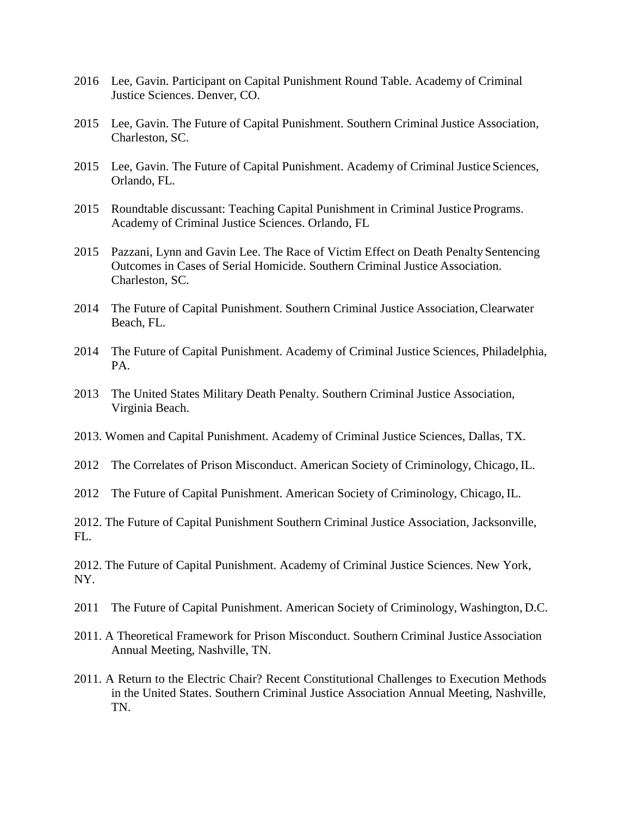- 2016 Lee, Gavin. Participant on Capital Punishment Round Table. Academy of Criminal Justice Sciences. Denver, CO.
- 2015 Lee, Gavin. The Future of Capital Punishment. Southern Criminal Justice Association, Charleston, SC.
- 2015 Lee, Gavin. The Future of Capital Punishment. Academy of Criminal Justice Sciences, Orlando, FL.
- 2015 Roundtable discussant: Teaching Capital Punishment in Criminal Justice Programs. Academy of Criminal Justice Sciences. Orlando, FL
- 2015 Pazzani, Lynn and Gavin Lee. The Race of Victim Effect on Death Penalty Sentencing Outcomes in Cases of Serial Homicide. Southern Criminal Justice Association. Charleston, SC.
- 2014 The Future of Capital Punishment. Southern Criminal Justice Association,Clearwater Beach, FL.
- 2014 The Future of Capital Punishment. Academy of Criminal Justice Sciences, Philadelphia, PA.
- 2013 The United States Military Death Penalty. Southern Criminal Justice Association, Virginia Beach.
- 2013. Women and Capital Punishment. Academy of Criminal Justice Sciences, Dallas, TX.
- 2012 The Correlates of Prison Misconduct. American Society of Criminology, Chicago, IL.
- 2012 The Future of Capital Punishment. American Society of Criminology, Chicago, IL.
- 2012. The Future of Capital Punishment Southern Criminal Justice Association, Jacksonville, FL.

2012. The Future of Capital Punishment. Academy of Criminal Justice Sciences. New York, NY.

- 2011 The Future of Capital Punishment. American Society of Criminology, Washington, D.C.
- 2011. A Theoretical Framework for Prison Misconduct. Southern Criminal Justice Association Annual Meeting, Nashville, TN.
- 2011. A Return to the Electric Chair? Recent Constitutional Challenges to Execution Methods in the United States. Southern Criminal Justice Association Annual Meeting, Nashville, TN.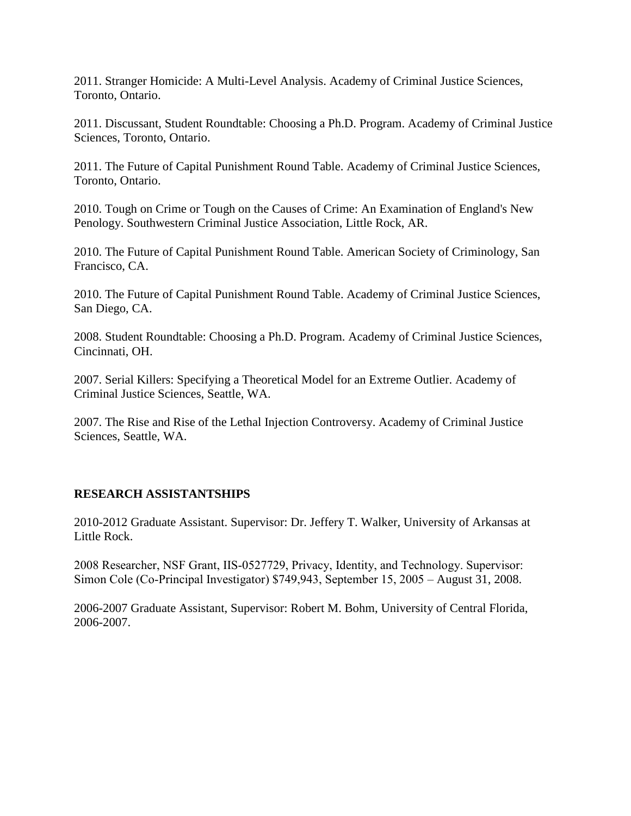2011. Stranger Homicide: A Multi-Level Analysis. Academy of Criminal Justice Sciences, Toronto, Ontario.

2011. Discussant, Student Roundtable: Choosing a Ph.D. Program. Academy of Criminal Justice Sciences, Toronto, Ontario.

2011. The Future of Capital Punishment Round Table. Academy of Criminal Justice Sciences, Toronto, Ontario.

2010. Tough on Crime or Tough on the Causes of Crime: An Examination of England's New Penology. Southwestern Criminal Justice Association, Little Rock, AR.

2010. The Future of Capital Punishment Round Table. American Society of Criminology, San Francisco, CA.

2010. The Future of Capital Punishment Round Table. Academy of Criminal Justice Sciences, San Diego, CA.

2008. Student Roundtable: Choosing a Ph.D. Program. Academy of Criminal Justice Sciences, Cincinnati, OH.

2007. Serial Killers: Specifying a Theoretical Model for an Extreme Outlier. Academy of Criminal Justice Sciences, Seattle, WA.

2007. The Rise and Rise of the Lethal Injection Controversy. Academy of Criminal Justice Sciences, Seattle, WA.

## **RESEARCH ASSISTANTSHIPS**

2010-2012 Graduate Assistant. Supervisor: Dr. Jeffery T. Walker, University of Arkansas at Little Rock.

2008 Researcher, NSF Grant, IIS‐0527729, Privacy, Identity, and Technology. Supervisor: Simon Cole (Co‐Principal Investigator) \$749,943, September 15, 2005 – August 31, 2008.

2006-2007 Graduate Assistant, Supervisor: Robert M. Bohm, University of Central Florida, 2006-2007.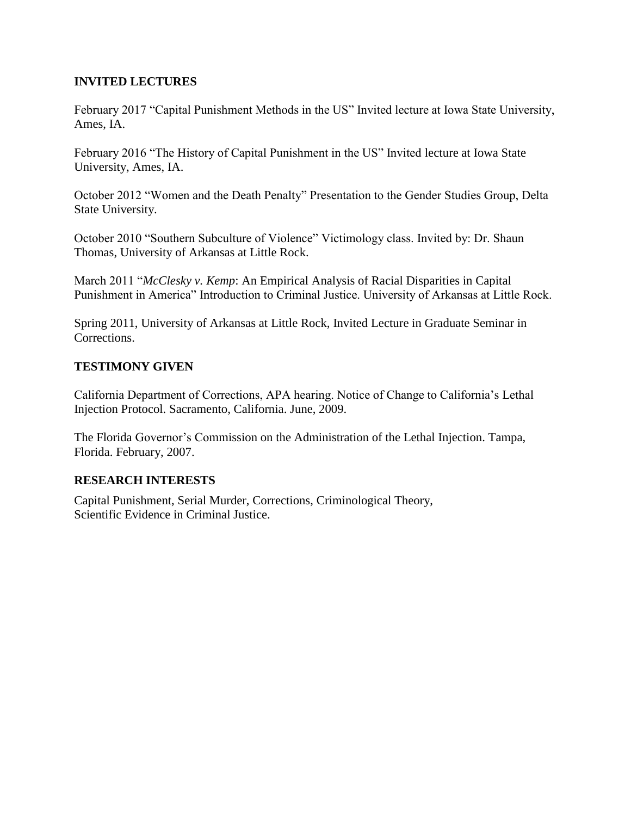## **INVITED LECTURES**

February 2017 "Capital Punishment Methods in the US" Invited lecture at Iowa State University, Ames, IA.

February 2016 "The History of Capital Punishment in the US" Invited lecture at Iowa State University, Ames, IA.

October 2012 "Women and the Death Penalty" Presentation to the Gender Studies Group, Delta State University.

October 2010 "Southern Subculture of Violence" Victimology class. Invited by: Dr. Shaun Thomas, University of Arkansas at Little Rock.

March 2011 "*McClesky v. Kemp*: An Empirical Analysis of Racial Disparities in Capital Punishment in America" Introduction to Criminal Justice. University of Arkansas at Little Rock.

Spring 2011, University of Arkansas at Little Rock, Invited Lecture in Graduate Seminar in Corrections.

## **TESTIMONY GIVEN**

California Department of Corrections, APA hearing. Notice of Change to California's Lethal Injection Protocol. Sacramento, California. June, 2009.

The Florida Governor's Commission on the Administration of the Lethal Injection. Tampa, Florida. February, 2007.

# **RESEARCH INTERESTS**

Capital Punishment, Serial Murder, Corrections, Criminological Theory, Scientific Evidence in Criminal Justice.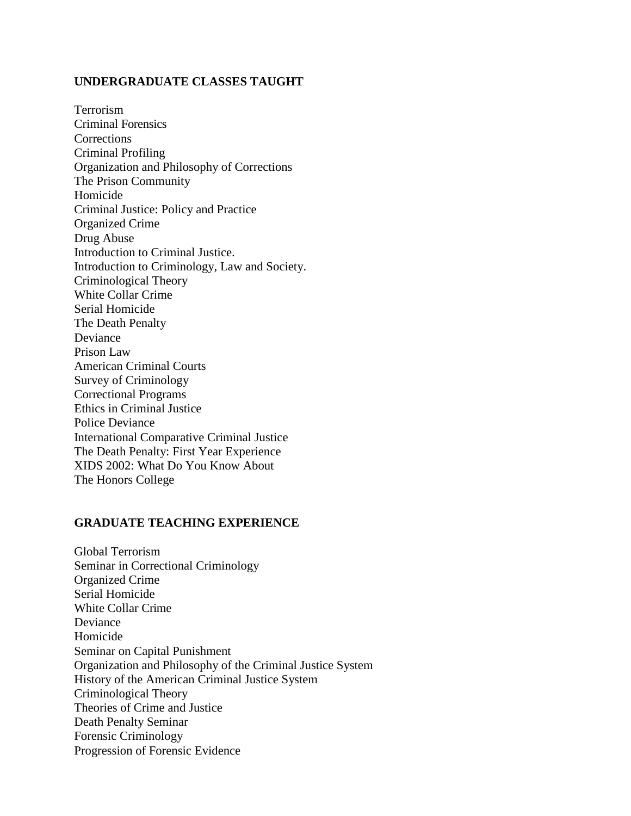#### **UNDERGRADUATE CLASSES TAUGHT**

Terrorism Criminal Forensics **Corrections** Criminal Profiling Organization and Philosophy of Corrections The Prison Community Homicide Criminal Justice: Policy and Practice Organized Crime Drug Abuse Introduction to Criminal Justice. Introduction to Criminology, Law and Society. Criminological Theory White Collar Crime Serial Homicide The Death Penalty Deviance Prison Law American Criminal Courts Survey of Criminology Correctional Programs Ethics in Criminal Justice Police Deviance International Comparative Criminal Justice The Death Penalty: First Year Experience XIDS 2002: What Do You Know About The Honors College

#### **GRADUATE TEACHING EXPERIENCE**

Global Terrorism Seminar in Correctional Criminology Organized Crime Serial Homicide White Collar Crime Deviance Homicide Seminar on Capital Punishment Organization and Philosophy of the Criminal Justice System History of the American Criminal Justice System Criminological Theory Theories of Crime and Justice Death Penalty Seminar Forensic Criminology Progression of Forensic Evidence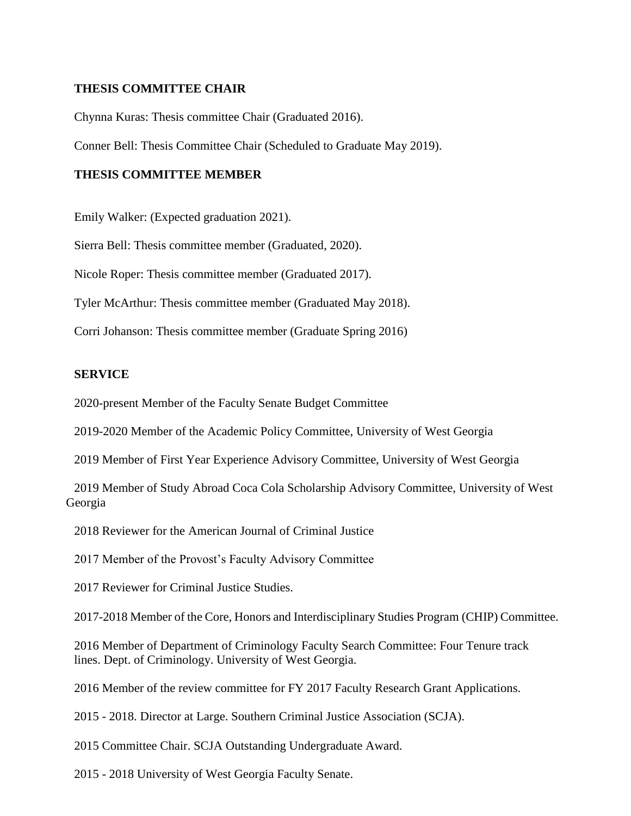#### **THESIS COMMITTEE CHAIR**

Chynna Kuras: Thesis committee Chair (Graduated 2016).

Conner Bell: Thesis Committee Chair (Scheduled to Graduate May 2019).

#### **THESIS COMMITTEE MEMBER**

Emily Walker: (Expected graduation 2021).

Sierra Bell: Thesis committee member (Graduated, 2020).

Nicole Roper: Thesis committee member (Graduated 2017).

Tyler McArthur: Thesis committee member (Graduated May 2018).

Corri Johanson: Thesis committee member (Graduate Spring 2016)

#### **SERVICE**

2020-present Member of the Faculty Senate Budget Committee

2019-2020 Member of the Academic Policy Committee, University of West Georgia

2019 Member of First Year Experience Advisory Committee, University of West Georgia

2019 Member of Study Abroad Coca Cola Scholarship Advisory Committee, University of West Georgia

2018 Reviewer for the American Journal of Criminal Justice

2017 Member of the Provost's Faculty Advisory Committee

2017 Reviewer for Criminal Justice Studies.

2017-2018 Member of the Core, Honors and Interdisciplinary Studies Program (CHIP) Committee.

2016 Member of Department of Criminology Faculty Search Committee: Four Tenure track lines. Dept. of Criminology. University of West Georgia.

2016 Member of the review committee for FY 2017 Faculty Research Grant Applications.

2015 - 2018. Director at Large. Southern Criminal Justice Association (SCJA).

2015 Committee Chair. SCJA Outstanding Undergraduate Award.

2015 - 2018 University of West Georgia Faculty Senate.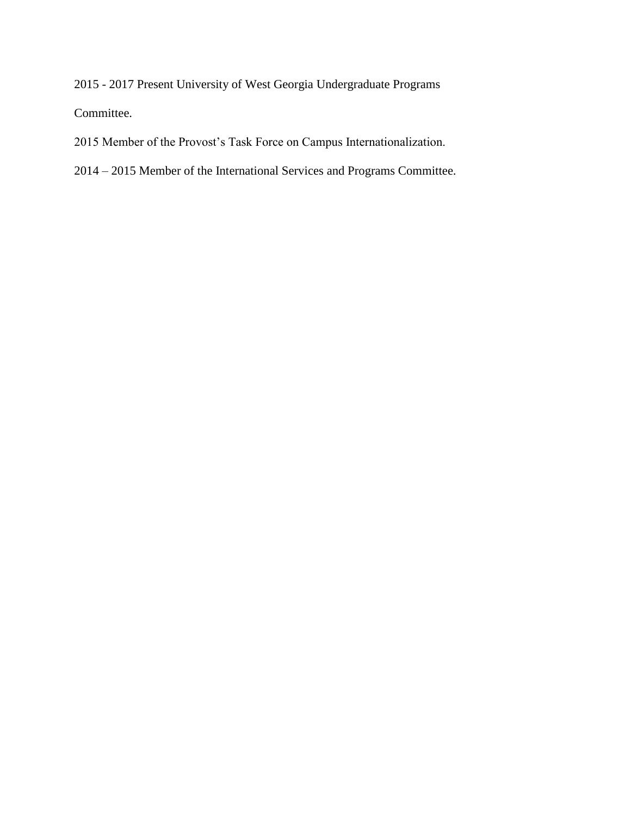2015 - 2017 Present University of West Georgia Undergraduate Programs Committee.

- 2015 Member of the Provost's Task Force on Campus Internationalization.
- 2014 2015 Member of the International Services and Programs Committee.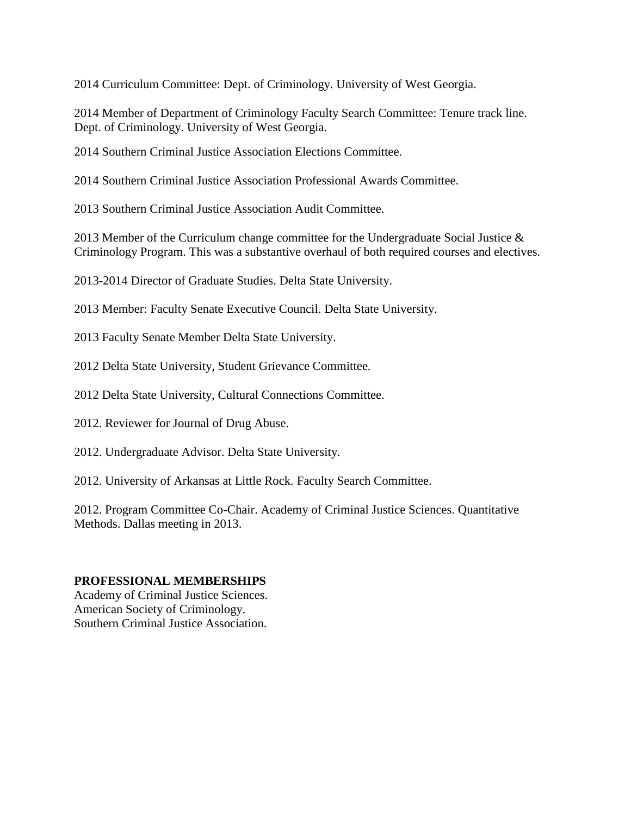2014 Curriculum Committee: Dept. of Criminology. University of West Georgia.

2014 Member of Department of Criminology Faculty Search Committee: Tenure track line. Dept. of Criminology. University of West Georgia.

2014 Southern Criminal Justice Association Elections Committee.

2014 Southern Criminal Justice Association Professional Awards Committee.

2013 Southern Criminal Justice Association Audit Committee.

2013 Member of the Curriculum change committee for the Undergraduate Social Justice & Criminology Program. This was a substantive overhaul of both required courses and electives.

2013-2014 Director of Graduate Studies. Delta State University.

2013 Member: Faculty Senate Executive Council. Delta State University.

2013 Faculty Senate Member Delta State University.

2012 Delta State University, Student Grievance Committee.

2012 Delta State University, Cultural Connections Committee.

2012. Reviewer for Journal of Drug Abuse.

2012. Undergraduate Advisor. Delta State University.

2012. University of Arkansas at Little Rock. Faculty Search Committee.

2012. Program Committee Co-Chair. Academy of Criminal Justice Sciences. Quantitative Methods. Dallas meeting in 2013.

## **PROFESSIONAL MEMBERSHIPS**

Academy of Criminal Justice Sciences. American Society of Criminology. Southern Criminal Justice Association.